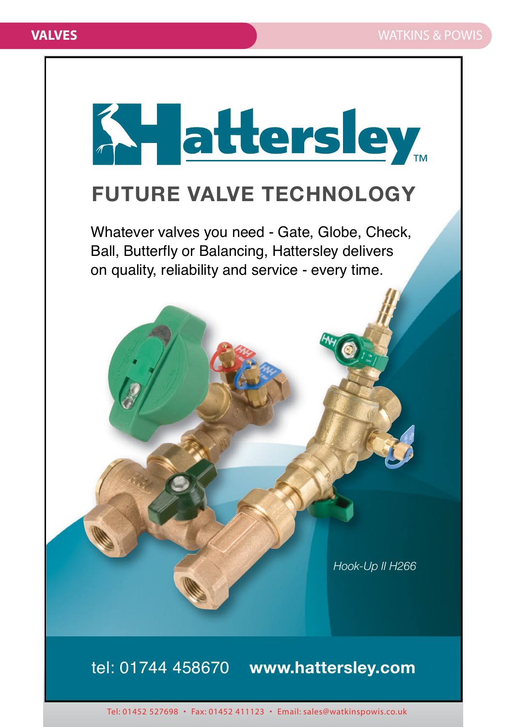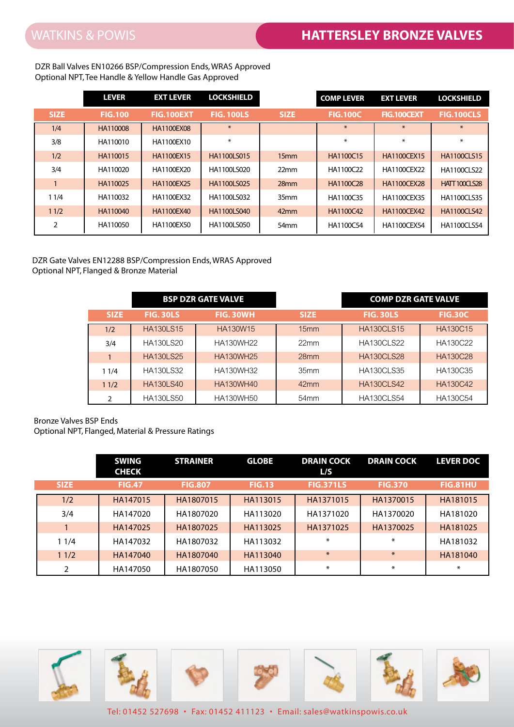DZR Ball Valves EN10266 BSP/Compression Ends, WRAS Approved Optional NPT, Tee Handle & Yellow Handle Gas Approved

|               | <b>LEVER</b>   | <b>EXT LEVER</b>  | <b>LOCKSHIELD</b>  |                  | <b>COMP LEVER</b> | <b>EXT LEVER</b>   | <b>LOCKSHIELD</b>   |
|---------------|----------------|-------------------|--------------------|------------------|-------------------|--------------------|---------------------|
| <b>SIZE</b>   | <b>FIG.100</b> | <b>FIG.100EXT</b> | <b>FIG. 100LS</b>  | <b>SIZE</b>      | <b>FIG.100C</b>   | FIG.100CEXT        | <b>FIG.100CLS</b>   |
| 1/4           | HA110008       | <b>HA1100EX08</b> | $*$                |                  | $*$               | $*$                | $*$                 |
| 3/8           | HA110010       | HA1100EX10        | $\ast$             |                  | $\ast$            | $\ast$             | $\ast$              |
| 1/2           | HA110015       | <b>HA1100EX15</b> | <b>HA1100LS015</b> | 15 <sub>mm</sub> | HA1100C15         | <b>HA1100CEX15</b> | <b>HA1100CLS15</b>  |
| 3/4           | HA110020       | HA1100EX20        | HA1100LS020        | 22mm             | HA1100C22         | HA1100CEX22        | <b>HA1100CLS22</b>  |
|               | HA110025       | HA1100EX25        | <b>HA1100LS025</b> | 28mm             | HA1100C28         | <b>HA1100CEX28</b> | <b>HATT100CLS28</b> |
| 11/4          | HA110032       | HA1100EX32        | HA1100LS032        | 35mm             | HA1100C35         | HA1100CEX35        | <b>HA1100CLS35</b>  |
| 11/2          | HA110040       | <b>HA1100EX40</b> | <b>HA1100LS040</b> | 42 <sub>mm</sub> | HA1100C42         | <b>HA1100CEX42</b> | <b>HA1100CLS42</b>  |
| $\mathcal{P}$ | HA110050       | HA1100EX50        | HA1100LS050        | 54 <sub>mm</sub> | HA1100C54         | <b>HA1100CEX54</b> | <b>HA1100CLS54</b>  |

## DZR Gate Valves EN12288 BSP/Compression Ends, WRAS Approved Optional NPT, Flanged & Bronze Material

|              |                  | <b>BSP DZR GATE VALVE</b> |                  | <b>COMP DZR GATE VALVE</b> |                 |  |
|--------------|------------------|---------------------------|------------------|----------------------------|-----------------|--|
| <b>SIZE</b>  | <b>FIG. 30LS</b> | FIG. 30WH                 | <b>SIZE</b>      | <b>FIG. 30LS</b>           | <b>FIG.30C</b>  |  |
| 1/2          | <b>HA130LS15</b> | HA130W15                  | 15mm             | <b>HA130CLS15</b>          | <b>HA130C15</b> |  |
| 3/4          | <b>HA130LS20</b> | HA130WH22                 | 22mm             | <b>HA130CLS22</b>          | HA130C22        |  |
| $\mathbf{1}$ | <b>HA130LS25</b> | <b>HA130WH25</b>          | 28mm             | <b>HA130CLS28</b>          | HA130C28        |  |
| 11/4         | <b>HA130LS32</b> | HA130WH32                 | 35mm             | <b>HA130CLS35</b>          | HA130C35        |  |
| 11/2         | <b>HA130LS40</b> | HA130WH40                 | 42mm             | <b>HA130CLS42</b>          | HA130C42        |  |
| 2            | <b>HA130LS50</b> | <b>HA130WH50</b>          | 54 <sub>mm</sub> | <b>HA130CLS54</b>          | HA130C54        |  |

## Bronze Valves BSP Ends

Optional NPT, Flanged, Material & Pressure Ratings

|             | <b>SWING</b><br><b>CHECK</b> | <b>STRAINER</b> | <b>GLOBE</b>  | <b>DRAIN COCK</b><br>L/S | <b>DRAIN COCK</b> | <b>LEVER DOC</b> |
|-------------|------------------------------|-----------------|---------------|--------------------------|-------------------|------------------|
| <b>SIZE</b> | <b>FIG.47</b>                | <b>FIG.807</b>  | <b>FIG.13</b> | <b>FIG.371LS</b>         | <b>FIG.370</b>    | <b>FIG.81HU</b>  |
| 1/2         | HA147015                     | HA1807015       | HA113015      | HA1371015                | HA1370015         | HA181015         |
| 3/4         | HA147020                     | HA1807020       | HA113020      | HA1371020                | HA1370020         | HA181020         |
|             | HA147025                     | HA1807025       | HA113025      | HA1371025                | HA1370025         | HA181025         |
| 11/4        | HA147032                     | HA1807032       | HA113032      | $\ast$                   | $\ast$            | HA181032         |
| 11/2        | HA147040                     | HA1807040       | HA113040      | $\ast$                   | $\ast$            | HA181040         |
|             | HA147050                     | HA1807050       | HA113050      | $\ast$                   | $\ast$            | $\ast$           |

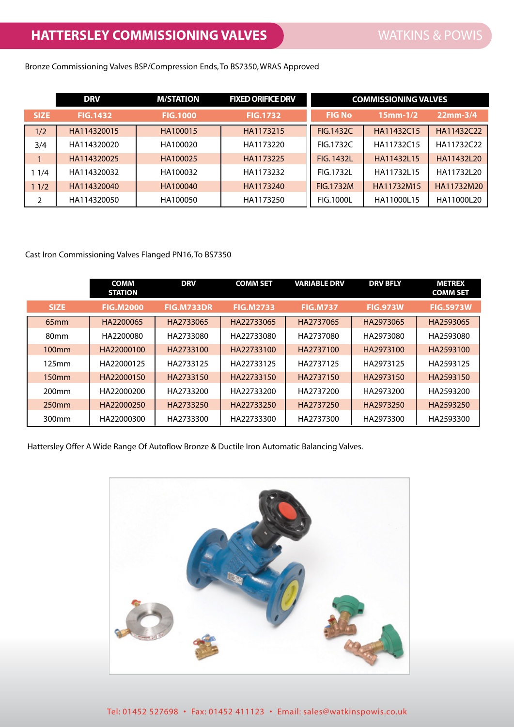Bronze Commissioning Valves BSP/Compression Ends, To BS7350, WRAS Approved

|                | <b>DRV</b>      | <b>M/STATION</b> | <b>FIXED ORIFICE DRV</b> | <b>COMMISSIONING VALVES</b> |                |            |
|----------------|-----------------|------------------|--------------------------|-----------------------------|----------------|------------|
| <b>SIZE</b>    | <b>FIG.1432</b> | <b>FIG.1000</b>  | <b>FIG.1732</b>          | <b>FIG No.</b>              | $15$ mm $-1/2$ | $22mm-3/4$ |
| 1/2            | HA114320015     | HA100015         | HA1173215                | <b>FIG.1432C</b>            | HA11432C15     | HA11432C22 |
| 3/4            | HA114320020     | HA100020         | HA1173220                | FIG.1732C                   | HA11732C15     | HA11732C22 |
|                | HA114320025     | HA100025         | HA1173225                | <b>FIG. 1432L</b>           | HA11432L15     | HA11432L20 |
| 11/4           | HA114320032     | HA100032         | HA1173232                | FIG.1732L                   | HA11732L15     | HA11732L20 |
| 11/2           | HA114320040     | HA100040         | HA1173240                | <b>FIG.1732M</b>            | HA11732M15     | HA11732M20 |
| $\overline{2}$ | HA114320050     | HA100050         | HA1173250                | <b>FIG.1000L</b>            | HA11000L15     | HA11000L20 |

## Cast Iron Commissioning Valves Flanged PN16, To BS7350

|                   | <b>COMM</b><br><b>STATION</b> | <b>DRV</b>        | <b>COMM SET</b>  | <b>VARIABLE DRV</b> | <b>DRV BFLY</b> | <b>METREX</b><br><b>COMM SET</b> |
|-------------------|-------------------------------|-------------------|------------------|---------------------|-----------------|----------------------------------|
| <b>SIZE</b>       | <b>FIG.M2000</b>              | <b>FIG.M733DR</b> | <b>FIG.M2733</b> | <b>FIG.M737</b>     | <b>FIG.973W</b> | <b>FIG.5973W</b>                 |
| 65 <sub>mm</sub>  | HA2200065                     | HA2733065         | HA22733065       | HA2737065           | HA2973065       | HA2593065                        |
| 80mm              | HA2200080                     | HA2733080         | HA22733080       | HA2737080           | HA2973080       | HA2593080                        |
| 100 <sub>mm</sub> | HA22000100                    | HA2733100         | HA22733100       | HA2737100           | HA2973100       | HA2593100                        |
| 125mm             | HA22000125                    | HA2733125         | HA22733125       | HA2737125           | HA2973125       | HA2593125                        |
| 150 <sub>mm</sub> | HA22000150                    | HA2733150         | HA22733150       | HA2737150           | HA2973150       | HA2593150                        |
| 200 <sub>mm</sub> | HA22000200                    | HA2733200         | HA22733200       | HA2737200           | HA2973200       | HA2593200                        |
| 250 <sub>mm</sub> | HA22000250                    | HA2733250         | HA22733250       | HA2737250           | HA2973250       | HA2593250                        |
| 300mm             | HA22000300                    | HA2733300         | HA22733300       | HA2737300           | HA2973300       | HA2593300                        |

Hattersley Offer A Wide Range Of Autoflow Bronze & Ductile Iron Automatic Balancing Valves.